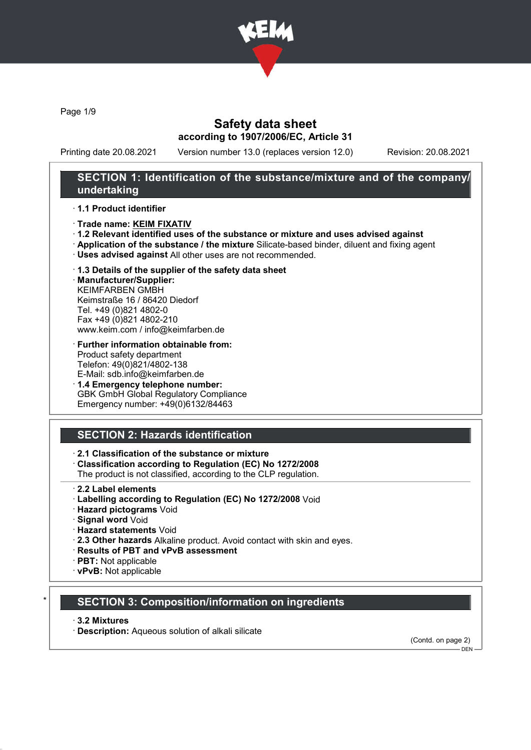

Page 1/9

### Safety data sheet according to 1907/2006/EC, Article 31

Printing date 20.08.2021 Version number 13.0 (replaces version 12.0) Revision: 20.08.2021

### SECTION 1: Identification of the substance/mixture and of the company/ undertaking

#### · 1.1 Product identifier

- · Trade name: KEIM FIXATIV
- · 1.2 Relevant identified uses of the substance or mixture and uses advised against
- · Application of the substance / the mixture Silicate-based binder, diluent and fixing agent
- · Uses advised against All other uses are not recommended.

# · 1.3 Details of the supplier of the safety data sheet

· Manufacturer/Supplier: KEIMFARBEN GMBH Keimstraße 16 / 86420 Diedorf Tel. +49 (0)821 4802-0 Fax +49 (0)821 4802-210 www.keim.com / info@keimfarben.de

- · Further information obtainable from: Product safety department Telefon: 49(0)821/4802-138 E-Mail: sdb.info@keimfarben.de
- · 1.4 Emergency telephone number: GBK GmbH Global Regulatory Compliance Emergency number: +49(0)6132/84463

# SECTION 2: Hazards identification

### · 2.1 Classification of the substance or mixture

· Classification according to Regulation (EC) No 1272/2008

The product is not classified, according to the CLP regulation.

- 2.2 Label elements
- · Labelling according to Regulation (EC) No 1272/2008 Void
- · Hazard pictograms Void
- · Signal word Void
- · Hazard statements Void
- · 2.3 Other hazards Alkaline product. Avoid contact with skin and eyes.
- · Results of PBT and vPvB assessment
- · PBT: Not applicable
- · vPvB: Not applicable

### **SECTION 3: Composition/information on ingredients**

#### · 3.2 Mixtures

· Description: Aqueous solution of alkali silicate

(Contd. on page 2)  $-$  DEN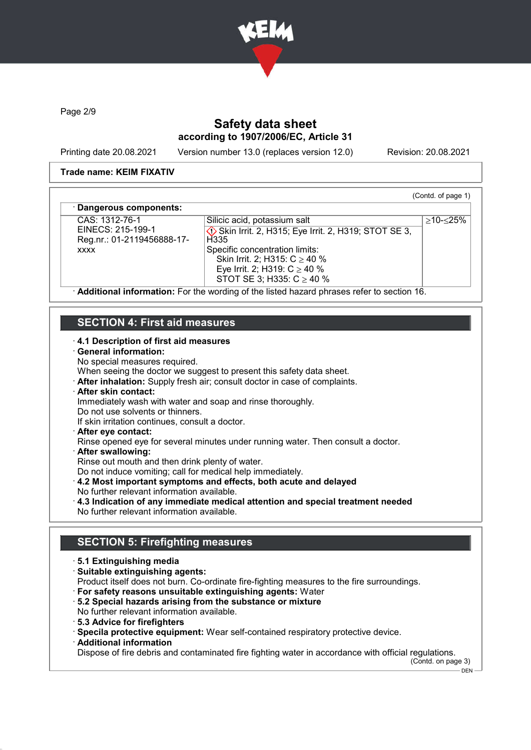

Page 2/9

# Safety data sheet according to 1907/2006/EC, Article 31

Printing date 20.08.2021 Version number 13.0 (replaces version 12.0) Revision: 20.08.2021

(Contd. of page 1)

≥10-≤25%

#### Trade name: KEIM FIXATIV

#### Dangerous components:

CAS: 1312-76-1 EINECS: 215-199-1 Reg.nr.: 01-2119456888-17 xxxx

Silicic acid, potassium salt **♦ Skin Irrit. 2, H315; Eye Irrit. 2, H319; STOT SE 3, H335** Specific concentration limits: Skin Irrit. 2; H315: C ≥ 40 % Eye Irrit. 2; H319:  $C$  ≥ 40 % STOT SE 3; H335: C ≥ 40 %

· Additional information: For the wording of the listed hazard phrases refer to section 16.

# SECTION 4: First aid measures

### · 4.1 Description of first aid measures

#### · General information:

No special measures required.

When seeing the doctor we suggest to present this safety data sheet.

· After inhalation: Supply fresh air; consult doctor in case of complaints.

### · After skin contact:

Immediately wash with water and soap and rinse thoroughly.

Do not use solvents or thinners.

If skin irritation continues, consult a doctor.

### · After eye contact:

Rinse opened eye for several minutes under running water. Then consult a doctor.

· After swallowing:

Rinse out mouth and then drink plenty of water.

Do not induce vomiting; call for medical help immediately.

· 4.2 Most important symptoms and effects, both acute and delayed

- No further relevant information available.
- · 4.3 Indication of any immediate medical attention and special treatment needed No further relevant information available.

# SECTION 5: Firefighting measures

- · 5.1 Extinguishing media
- · Suitable extinguishing agents:

Product itself does not burn. Co-ordinate fire-fighting measures to the fire surroundings.

- · For safety reasons unsuitable extinguishing agents: Water
- · 5.2 Special hazards arising from the substance or mixture
- No further relevant information available.
- · 5.3 Advice for firefighters
- · Specila protective equipment: Wear self-contained respiratory protective device.
- · Additional information

Dispose of fire debris and contaminated fire fighting water in accordance with official regulations.

(Contd. on page 3)

 $-DEN$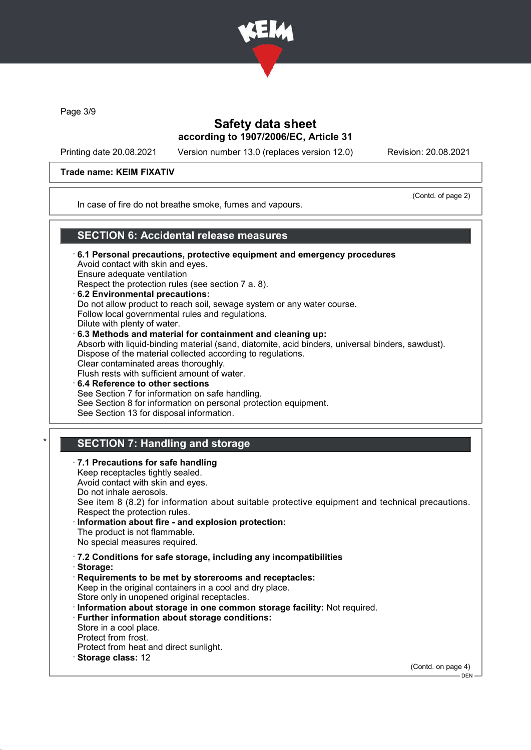

Page 3/9

## Safety data sheet according to 1907/2006/EC, Article 31

Printing date 20.08.2021 Version number 13.0 (replaces version 12.0) Revision: 20.08.2021

### Trade name: KEIM FIXATIV

(Contd. of page 2)

In case of fire do not breathe smoke, fumes and vapours.

### SECTION 6: Accidental release measures

- · 6.1 Personal precautions, protective equipment and emergency procedures Avoid contact with skin and eyes. Ensure adequate ventilation Respect the protection rules (see section 7 a. 8).
- · 6.2 Environmental precautions: Do not allow product to reach soil, sewage system or any water course. Follow local governmental rules and regulations. Dilute with plenty of water. · 6.3 Methods and material for containment and cleaning up:

Absorb with liquid-binding material (sand, diatomite, acid binders, universal binders, sawdust). Dispose of the material collected according to regulations. Clear contaminated areas thoroughly.

- Flush rests with sufficient amount of water. 6.4 Reference to other sections See Section 7 for information on safe handling. See Section 8 for information on personal protection equipment.
- See Section 13 for disposal information.

# **SECTION 7: Handling and storage**

7.1 Precautions for safe handling Keep receptacles tightly sealed.

Avoid contact with skin and eyes. Do not inhale aerosols. See item 8 (8.2) for information about suitable protective equipment and technical precautions.

- Respect the protection rules. Information about fire - and explosion protection:
- The product is not flammable. No special measures required.
- · 7.2 Conditions for safe storage, including any incompatibilities
- · Storage:
- · Requirements to be met by storerooms and receptacles: Keep in the original containers in a cool and dry place. Store only in unopened original receptacles.
- · Information about storage in one common storage facility: Not required.
- · Further information about storage conditions:
- Store in a cool place.
- Protect from frost.
- Protect from heat and direct sunlight.
- · Storage class: 12

(Contd. on page 4)

 $-$  DEN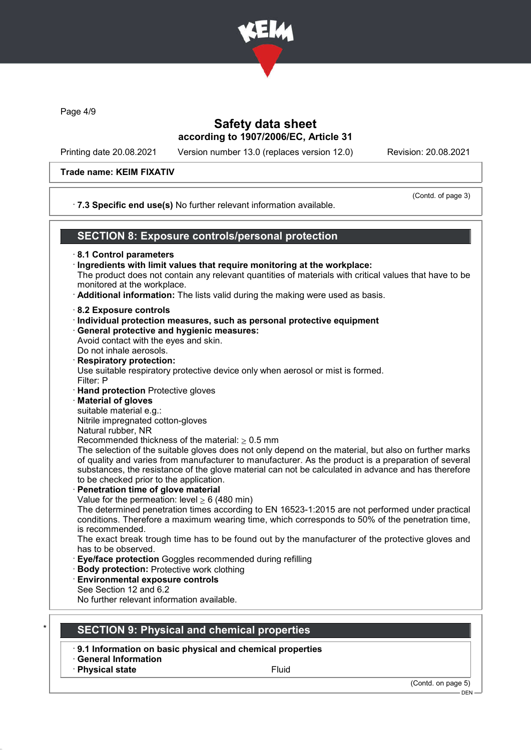

Page 4/9

# Safety data sheet according to 1907/2006/EC, Article 31

Printing date 20.08.2021 Version number 13.0 (replaces version 12.0) Revision: 20.08.2021

# Trade name: KEIM FIXATIV

| Trade name: KEIM FIXATIV                                                                                                                                                                                                                                                                                                    |                                                                                                                                                                                                                                                                                                                                                                                                                                                                                                                          |
|-----------------------------------------------------------------------------------------------------------------------------------------------------------------------------------------------------------------------------------------------------------------------------------------------------------------------------|--------------------------------------------------------------------------------------------------------------------------------------------------------------------------------------------------------------------------------------------------------------------------------------------------------------------------------------------------------------------------------------------------------------------------------------------------------------------------------------------------------------------------|
|                                                                                                                                                                                                                                                                                                                             | (Contd. of page 3)<br>· 7.3 Specific end use(s) No further relevant information available.                                                                                                                                                                                                                                                                                                                                                                                                                               |
|                                                                                                                                                                                                                                                                                                                             | <b>SECTION 8: Exposure controls/personal protection</b>                                                                                                                                                                                                                                                                                                                                                                                                                                                                  |
| 8.1 Control parameters<br>monitored at the workplace.                                                                                                                                                                                                                                                                       | · Ingredients with limit values that require monitoring at the workplace:<br>The product does not contain any relevant quantities of materials with critical values that have to be<br>· Additional information: The lists valid during the making were used as basis.                                                                                                                                                                                                                                                   |
| 8.2 Exposure controls<br>· General protective and hygienic measures:<br>Avoid contact with the eyes and skin.<br>Do not inhale aerosols.<br><b>Respiratory protection:</b><br>Filter: P<br>· Hand protection Protective gloves<br><b>Material of gloves</b><br>suitable material e.g.:<br>Nitrile impregnated cotton-gloves | · Individual protection measures, such as personal protective equipment<br>Use suitable respiratory protective device only when aerosol or mist is formed.                                                                                                                                                                                                                                                                                                                                                               |
| Natural rubber, NR<br>Recommended thickness of the material: $\geq 0.5$ mm<br>to be checked prior to the application.<br>· Penetration time of glove material<br>Value for the permeation: level $\geq 6$ (480 min)<br>is recommended.                                                                                      | The selection of the suitable gloves does not only depend on the material, but also on further marks<br>of quality and varies from manufacturer to manufacturer. As the product is a preparation of several<br>substances, the resistance of the glove material can not be calculated in advance and has therefore<br>The determined penetration times according to EN 16523-1:2015 are not performed under practical<br>conditions. Therefore a maximum wearing time, which corresponds to 50% of the penetration time, |
| has to be observed.<br>Eye/face protection Goggles recommended during refilling<br><b>Body protection: Protective work clothing</b><br><b>Environmental exposure controls</b><br>See Section 12 and 6.2<br>No further relevant information available.                                                                       | The exact break trough time has to be found out by the manufacturer of the protective gloves and                                                                                                                                                                                                                                                                                                                                                                                                                         |
| <b>SECTION 9: Physical and chemical properties</b>                                                                                                                                                                                                                                                                          |                                                                                                                                                                                                                                                                                                                                                                                                                                                                                                                          |
| 9.1 Information on basic physical and chemical properties                                                                                                                                                                                                                                                                   |                                                                                                                                                                                                                                                                                                                                                                                                                                                                                                                          |
| <b>General Information</b><br><b>Physical state</b>                                                                                                                                                                                                                                                                         | Fluid                                                                                                                                                                                                                                                                                                                                                                                                                                                                                                                    |
|                                                                                                                                                                                                                                                                                                                             | (Contd. on page 5)<br>DEN                                                                                                                                                                                                                                                                                                                                                                                                                                                                                                |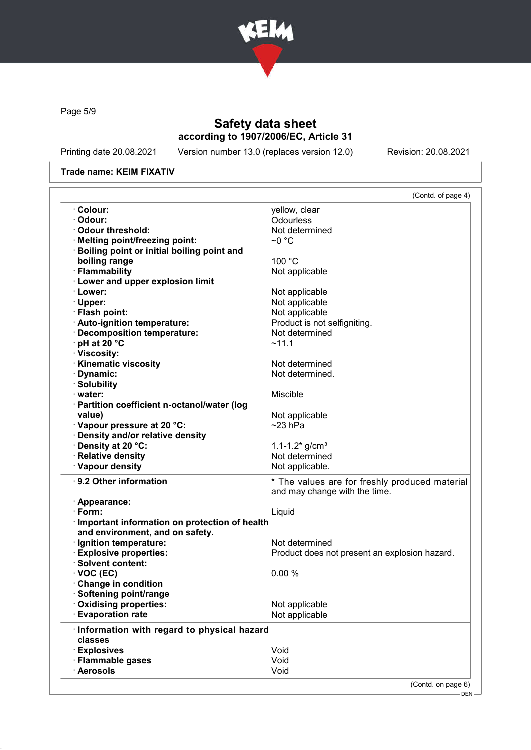

Page 5/9

# Safety data sheet according to 1907/2006/EC, Article 31

Printing date 20.08.2021 Version number 13.0 (replaces version 12.0) Revision: 20.08.2021

#### Trade name: KEIM FIXATIV

|                                                 | (Contd. of page 4)                             |  |
|-------------------------------------------------|------------------------------------------------|--|
| · Colour:                                       | yellow, clear                                  |  |
| · Odour:                                        | Odourless                                      |  |
| Odour threshold:                                | Not determined                                 |  |
| · Melting point/freezing point:                 | ~0 °C                                          |  |
| Boiling point or initial boiling point and      |                                                |  |
| boiling range                                   | 100 °C                                         |  |
| · Flammability                                  | Not applicable                                 |  |
| · Lower and upper explosion limit               |                                                |  |
| · Lower:                                        | Not applicable                                 |  |
| · Upper:                                        | Not applicable                                 |  |
| · Flash point:                                  | Not applicable                                 |  |
| · Auto-ignition temperature:                    | Product is not selfigniting.                   |  |
| · Decomposition temperature:                    | Not determined                                 |  |
| $\cdot$ pH at 20 °C                             | ~11.1                                          |  |
| · Viscosity:                                    |                                                |  |
| <b>Kinematic viscosity</b>                      | Not determined                                 |  |
| Dynamic:                                        | Not determined.                                |  |
| · Solubility                                    |                                                |  |
| · water:                                        | <b>Miscible</b>                                |  |
| · Partition coefficient n-octanol/water (log    |                                                |  |
| value)                                          | Not applicable                                 |  |
| Vapour pressure at 20 °C:                       | $\sim$ 23 hPa                                  |  |
| · Density and/or relative density               |                                                |  |
| · Density at 20 °C:                             | 1.1-1.2 $*$ g/cm <sup>3</sup>                  |  |
| · Relative density                              | Not determined                                 |  |
| · Vapour density                                | Not applicable.                                |  |
|                                                 |                                                |  |
| · 9.2 Other information                         | * The values are for freshly produced material |  |
|                                                 |                                                |  |
|                                                 | and may change with the time.                  |  |
| · Appearance:                                   |                                                |  |
| $\cdot$ Form:                                   | Liquid                                         |  |
| · Important information on protection of health |                                                |  |
| and environment, and on safety.                 |                                                |  |
| · Ignition temperature:                         | Not determined                                 |  |
| <b>Explosive properties:</b>                    | Product does not present an explosion hazard.  |  |
| · Solvent content:                              |                                                |  |
| $\cdot$ VOC (EC)                                | 0.00%                                          |  |
| <b>Change in condition</b>                      |                                                |  |
| Softening point/range                           |                                                |  |
| · Oxidising properties:                         | Not applicable                                 |  |
| <b>Evaporation rate</b>                         | Not applicable                                 |  |
|                                                 |                                                |  |
| · Information with regard to physical hazard    |                                                |  |
| classes                                         |                                                |  |
| · Explosives<br>· Flammable gases               | Void<br>Void                                   |  |

pag

<sup>, - - - ,&</sup>lt;br>-- DEN -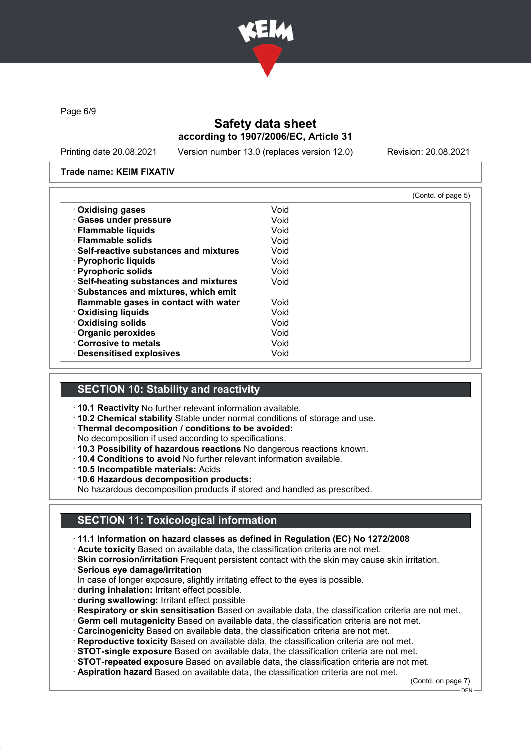

Page 6/9

## Safety data sheet according to 1907/2006/EC, Article 31

Printing date 20.08.2021 Version number 13.0 (replaces version 12.0) Revision: 20.08.2021

#### Trade name: KEIM FIXATIV

|                                               |      | (Contd. of page 5) |
|-----------------------------------------------|------|--------------------|
| <b>Oxidising gases</b>                        | Void |                    |
| · Gases under pressure                        | Void |                    |
| · Flammable liquids                           | Void |                    |
| · Flammable solids                            | Void |                    |
| $\cdot$ Self-reactive substances and mixtures | Void |                    |
| · Pyrophoric liquids                          | Void |                    |
| · Pyrophoric solids                           | Void |                    |
| · Self-heating substances and mixtures        | Void |                    |
| · Substances and mixtures, which emit         |      |                    |
| flammable gases in contact with water         | Void |                    |
| <b>Oxidising liquids</b>                      | Void |                    |
| · Oxidising solids                            | Void |                    |
| · Organic peroxides                           | Void |                    |
| Corrosive to metals                           | Void |                    |
| · Desensitised explosives                     | Void |                    |

# SECTION 10: Stability and reactivity

· 10.1 Reactivity No further relevant information available.

· 10.2 Chemical stability Stable under normal conditions of storage and use.

· Thermal decomposition / conditions to be avoided:

No decomposition if used according to specifications.

- · 10.3 Possibility of hazardous reactions No dangerous reactions known.
- · 10.4 Conditions to avoid No further relevant information available.

· 10.5 Incompatible materials: Acids

· 10.6 Hazardous decomposition products:

No hazardous decomposition products if stored and handled as prescribed.

# SECTION 11: Toxicological information

· 11.1 Information on hazard classes as defined in Regulation (EC) No 1272/2008

- · Acute toxicity Based on available data, the classification criteria are not met.
- · Skin corrosion/irritation Frequent persistent contact with the skin may cause skin irritation.
- · Serious eye damage/irritation
- In case of longer exposure, slightly irritating effect to the eyes is possible.
- · during inhalation: Irritant effect possible.
- · during swallowing: Irritant effect possible
- · Respiratory or skin sensitisation Based on available data, the classification criteria are not met.
- · Germ cell mutagenicity Based on available data, the classification criteria are not met.
- · Carcinogenicity Based on available data, the classification criteria are not met.
- · Reproductive toxicity Based on available data, the classification criteria are not met.
- · STOT-single exposure Based on available data, the classification criteria are not met.
- · STOT-repeated exposure Based on available data, the classification criteria are not met.
- · Aspiration hazard Based on available data, the classification criteria are not met.

(Contd. on page 7)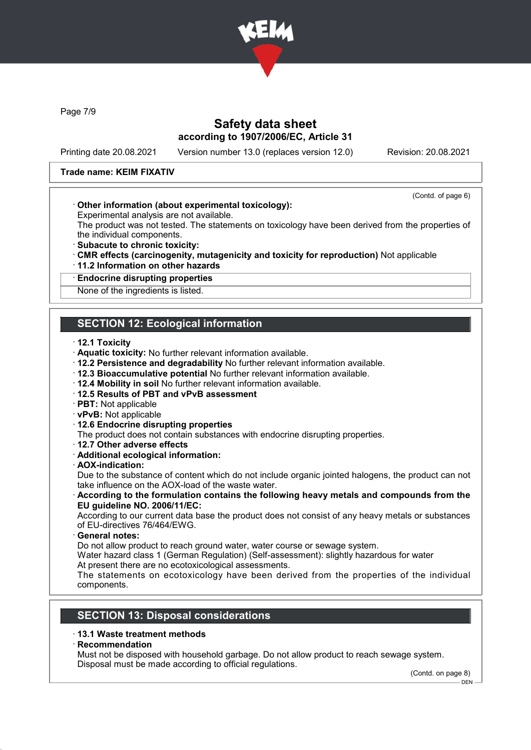

Page 7/9

### Safety data sheet according to 1907/2006/EC, Article 31

Printing date 20.08.2021 Version number 13.0 (replaces version 12.0) Revision: 20.08.2021

(Contd. of page 6)

#### Trade name: KEIM FIXATIV

#### · Other information (about experimental toxicology):

Experimental analysis are not available.

The product was not tested. The statements on toxicology have been derived from the properties of the individual components.

- · Subacute to chronic toxicity:
- · CMR effects (carcinogenity, mutagenicity and toxicity for reproduction) Not applicable
- · 11.2 Information on other hazards

# · Endocrine disrupting properties

None of the ingredients is listed.

### SECTION 12: Ecological information

- · 12.1 Toxicity
- · Aquatic toxicity: No further relevant information available.
- · 12.2 Persistence and degradability No further relevant information available.
- · 12.3 Bioaccumulative potential No further relevant information available.
- · 12.4 Mobility in soil No further relevant information available.
- · 12.5 Results of PBT and vPvB assessment
- · PBT: Not applicable
- · vPvB: Not applicable
- · 12.6 Endocrine disrupting properties
- The product does not contain substances with endocrine disrupting properties.
- · 12.7 Other adverse effects
- · Additional ecological information:
- · AOX-indication:

Due to the substance of content which do not include organic jointed halogens, the product can not take influence on the AOX-load of the waste water.

#### · According to the formulation contains the following heavy metals and compounds from the EU guideline NO. 2006/11/EC:

According to our current data base the product does not consist of any heavy metals or substances of EU-directives 76/464/EWG.

General notes:

Do not allow product to reach ground water, water course or sewage system.

Water hazard class 1 (German Regulation) (Self-assessment): slightly hazardous for water At present there are no ecotoxicological assessments.

The statements on ecotoxicology have been derived from the properties of the individual components.

### SECTION 13: Disposal considerations

#### · 13.1 Waste treatment methods

**Recommendation** 

Must not be disposed with household garbage. Do not allow product to reach sewage system. Disposal must be made according to official regulations.

(Contd. on page 8) DEN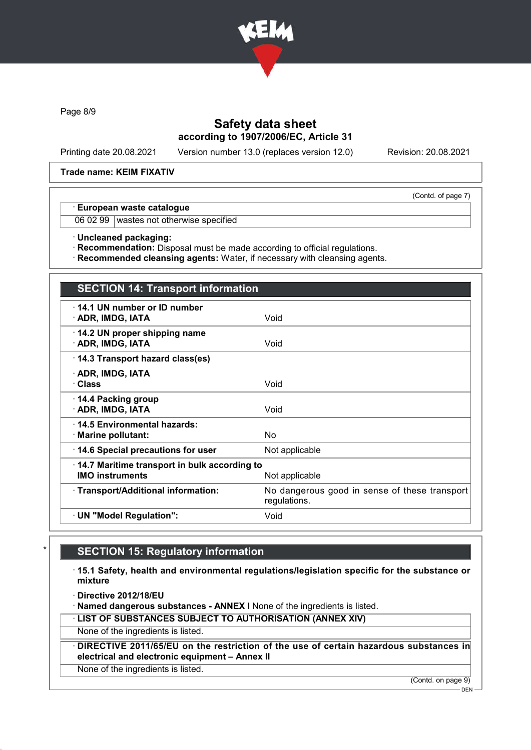

Page 8/9

# Safety data sheet according to 1907/2006/EC, Article 31

Printing date 20.08.2021 Version number 13.0 (replaces version 12.0) Revision: 20.08.2021

(Contd. of page 7)

#### Trade name: KEIM FIXATIV

#### · European waste catalogue

06 02 99 wastes not otherwise specified

· Uncleaned packaging:

· Recommendation: Disposal must be made according to official regulations.

· Recommended cleansing agents: Water, if necessary with cleansing agents.

# SECTION 14: Transport information

| 14.1 UN number or ID number<br>· ADR, IMDG, IATA                                         | Void                                                          |  |
|------------------------------------------------------------------------------------------|---------------------------------------------------------------|--|
| 14.2 UN proper shipping name<br>· ADR, IMDG, IATA                                        | Void                                                          |  |
| 14.3 Transport hazard class(es)                                                          |                                                               |  |
| · ADR, IMDG, IATA<br>· Class                                                             | Void                                                          |  |
| ⋅ 14.4 Packing group<br>· ADR, IMDG, IATA                                                | Void                                                          |  |
| ⋅14.5 Environmental hazards:<br>· Marine pollutant:                                      | No                                                            |  |
| 14.6 Special precautions for user                                                        | Not applicable                                                |  |
| 14.7 Maritime transport in bulk according to<br><b>IMO instruments</b><br>Not applicable |                                                               |  |
| · Transport/Additional information:                                                      | No dangerous good in sense of these transport<br>regulations. |  |
| · UN "Model Regulation":                                                                 | Void                                                          |  |
|                                                                                          |                                                               |  |

### **SECTION 15: Regulatory information**

· 15.1 Safety, health and environmental regulations/legislation specific for the substance or mixture

· Directive 2012/18/EU

· Named dangerous substances - ANNEX I None of the ingredients is listed.

· LIST OF SUBSTANCES SUBJECT TO AUTHORISATION (ANNEX XIV)

None of the ingredients is listed.

· DIRECTIVE 2011/65/EU on the restriction of the use of certain hazardous substances in electrical and electronic equipment – Annex II

None of the ingredients is listed.

(Contd. on page 9)

 $-$  DEN